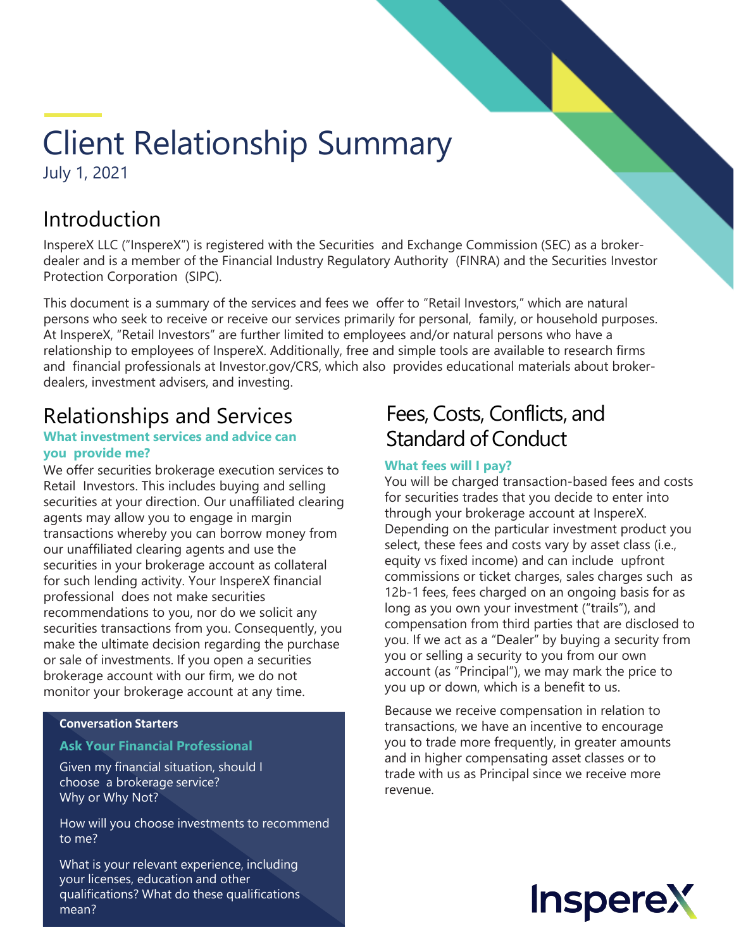# Client Relationship Summary July 1, 2021

## Introduction

InspereX LLC ("InspereX") is registered with the Securities and Exchange Commission (SEC) as a brokerdealer and is a member of the Financial Industry Regulatory Authority (FINRA) and the Securities Investor Protection Corporation (SIPC).

This document is a summary of the services and fees we offer to "Retail Investors," which are natural persons who seek to receive or receive our services primarily for personal, family, or household purposes. At InspereX, "Retail Investors" are further limited to employees and/or natural persons who have a relationship to employees of InspereX. Additionally, free and simple tools are available to research firms and financial professionals at Investor.gov/CRS, which also provides educational materials about brokerdealers, investment advisers, and investing.

## Relationships and Services

#### **What investment services and advice can you provide me?**

We offer securities brokerage execution services to Retail Investors. This includes buying and selling securities at your direction. Our unaffiliated clearing agents may allow you to engage in margin transactions whereby you can borrow money from our unaffiliated clearing agents and use the securities in your brokerage account as collateral for such lending activity. Your InspereX financial professional does not make securities recommendations to you, nor do we solicit any securities transactions from you. Consequently, you make the ultimate decision regarding the purchase or sale of investments. If you open a securities brokerage account with our firm, we do not monitor your brokerage account at any time.

### **Conversation Starters**

### **Ask Your Financial Professional**

Given my financial situation, should I choose a brokerage service? Why or Why Not?

How will you choose investments to recommend to me?

What is your relevant experience, including your licenses, education and other qualifications? What do these qualifications mean?

## Fees, Costs, Conflicts, and Standard of Conduct

### **What fees will I pay?**

You will be charged transaction-based fees and costs for securities trades that you decide to enter into through your brokerage account at InspereX. Depending on the particular investment product you select, these fees and costs vary by asset class (i.e., equity vs fixed income) and can include upfront commissions or ticket charges, sales charges such as 12b-1 fees, fees charged on an ongoing basis for as long as you own your investment ("trails"), and compensation from third parties that are disclosed to you. If we act as a "Dealer" by buying a security from you or selling a security to you from our own account (as "Principal"), we may mark the price to you up or down, which is a benefit to us.

Because we receive compensation in relation to transactions, we have an incentive to encourage you to trade more frequently, in greater amounts and in higher compensating asset classes or to trade with us as Principal since we receive more revenue.